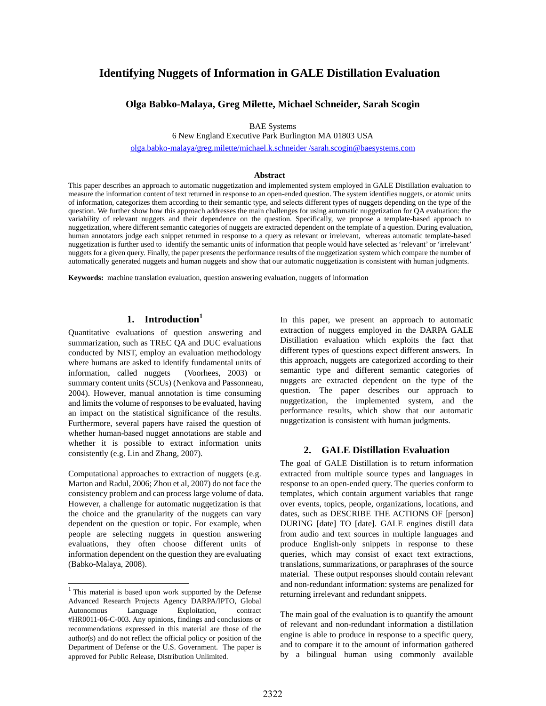# **Identifying Nuggets of Information in GALE Distillation Evaluation**

### **Olga Babko-Malaya, Greg Milette, Michael Schneider, Sarah Scogin**

BAE Systems

6 New England Executive Park Burlington MA 01803 USA

olga.babko-malaya/greg.milette/michael.k.schneider /sarah.scogin@baesystems.com

#### **Abstract**

This paper describes an approach to automatic nuggetization and implemented system employed in GALE Distillation evaluation to measure the information content of text returned in response to an open-ended question. The system identifies nuggets, or atomic units of information, categorizes them according to their semantic type, and selects different types of nuggets depending on the type of the question. We further show how this approach addresses the main challenges for using automatic nuggetization for QA evaluation: the variability of relevant nuggets and their dependence on the question. Specifically, we propose a template-based approach to nuggetization, where different semantic categories of nuggets are extracted dependent on the template of a question. During evaluation, human annotators judge each snippet returned in response to a query as relevant or irrelevant, whereas automatic template-based nuggetization is further used to identify the semantic units of information that people would have selected as 'relevant' or 'irrelevant' nuggets for a given query. Finally, the paper presents the performance results of the nuggetization system which compare the number of automatically generated nuggets and human nuggets and show that our automatic nuggetization is consistent with human judgments.

**Keywords:** machine translation evaluation, question answering evaluation, nuggets of information

## **1. Introduction<sup>1</sup>**

Quantitative evaluations of question answering and summarization, such as TREC QA and DUC evaluations conducted by NIST, employ an evaluation methodology where humans are asked to identify fundamental units of information, called nuggets (Voorhees, 2003) or summary content units (SCUs) (Nenkova and Passonneau, 2004). However, manual annotation is time consuming and limits the volume of responses to be evaluated, having an impact on the statistical significance of the results. Furthermore, several papers have raised the question of whether human-based nugget annotations are stable and whether it is possible to extract information units consistently (e.g. Lin and Zhang, 2007).

Computational approaches to extraction of nuggets (e.g. Marton and Radul, 2006; Zhou et al, 2007) do not face the consistency problem and can process large volume of data. However, a challenge for automatic nuggetization is that the choice and the granularity of the nuggets can vary dependent on the question or topic. For example, when people are selecting nuggets in question answering evaluations, they often choose different units of information dependent on the question they are evaluating (Babko-Malaya, 2008).

 $\overline{a}$ 

In this paper, we present an approach to automatic extraction of nuggets employed in the DARPA GALE Distillation evaluation which exploits the fact that different types of questions expect different answers. In this approach, nuggets are categorized according to their semantic type and different semantic categories of nuggets are extracted dependent on the type of the question. The paper describes our approach to nuggetization, the implemented system, and the performance results, which show that our automatic nuggetization is consistent with human judgments.

#### **2. GALE Distillation Evaluation**

The goal of GALE Distillation is to return information extracted from multiple source types and languages in response to an open-ended query. The queries conform to templates, which contain argument variables that range over events, topics, people, organizations, locations, and dates, such as DESCRIBE THE ACTIONS OF [person] DURING [date] TO [date]. GALE engines distill data from audio and text sources in multiple languages and produce English-only snippets in response to these queries, which may consist of exact text extractions, translations, summarizations, or paraphrases of the source material. These output responses should contain relevant and non-redundant information: systems are penalized for returning irrelevant and redundant snippets.

The main goal of the evaluation is to quantify the amount of relevant and non-redundant information a distillation engine is able to produce in response to a specific query, and to compare it to the amount of information gathered by a bilingual human using commonly available

 $1$  This material is based upon work supported by the Defense Advanced Research Projects Agency DARPA/IPTO, Global Autonomous Language Exploitation, contract #HR0011-06-C-003. Any opinions, findings and conclusions or recommendations expressed in this material are those of the author(s) and do not reflect the official policy or position of the Department of Defense or the U.S. Government. The paper is approved for Public Release, Distribution Unlimited.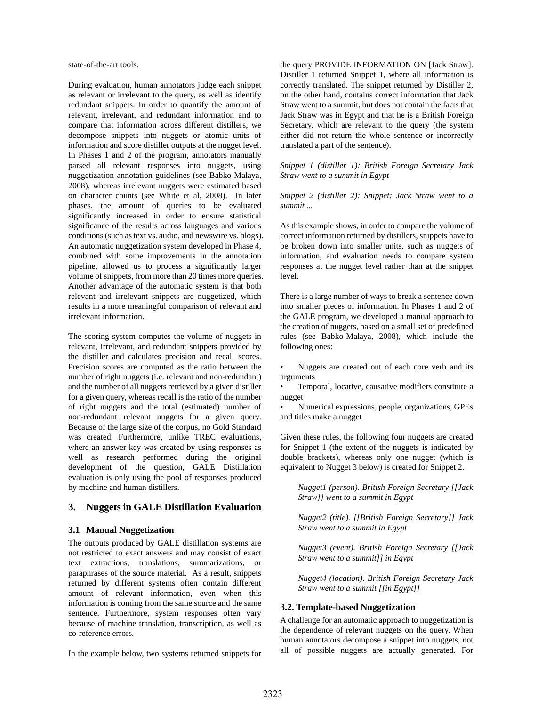state-of-the-art tools.

During evaluation, human annotators judge each snippet as relevant or irrelevant to the query, as well as identify redundant snippets. In order to quantify the amount of relevant, irrelevant, and redundant information and to compare that information across different distillers, we decompose snippets into nuggets or atomic units of information and score distiller outputs at the nugget level. In Phases 1 and 2 of the program, annotators manually parsed all relevant responses into nuggets, using nuggetization annotation guidelines (see Babko-Malaya, 2008), whereas irrelevant nuggets were estimated based on character counts (see White et al, 2008). In later phases, the amount of queries to be evaluated significantly increased in order to ensure statistical significance of the results across languages and various conditions (such as text vs. audio, and newswire vs. blogs). An automatic nuggetization system developed in Phase 4, combined with some improvements in the annotation pipeline, allowed us to process a significantly larger volume of snippets, from more than 20 times more queries. Another advantage of the automatic system is that both relevant and irrelevant snippets are nuggetized, which results in a more meaningful comparison of relevant and irrelevant information.

The scoring system computes the volume of nuggets in relevant, irrelevant, and redundant snippets provided by the distiller and calculates precision and recall scores. Precision scores are computed as the ratio between the number of right nuggets (i.e. relevant and non-redundant) and the number of all nuggets retrieved by a given distiller for a given query, whereas recall is the ratio of the number of right nuggets and the total (estimated) number of non-redundant relevant nuggets for a given query. Because of the large size of the corpus, no Gold Standard was created. Furthermore, unlike TREC evaluations, where an answer key was created by using responses as well as research performed during the original development of the question, GALE Distillation evaluation is only using the pool of responses produced by machine and human distillers.

### **3. Nuggets in GALE Distillation Evaluation**

#### **3.1 Manual Nuggetization**

The outputs produced by GALE distillation systems are not restricted to exact answers and may consist of exact text extractions, translations, summarizations, or paraphrases of the source material. As a result, snippets returned by different systems often contain different amount of relevant information, even when this information is coming from the same source and the same sentence. Furthermore, system responses often vary because of machine translation, transcription, as well as co-reference errors.

In the example below, two systems returned snippets for

the query PROVIDE INFORMATION ON [Jack Straw]. Distiller 1 returned Snippet 1, where all information is correctly translated. The snippet returned by Distiller 2, on the other hand, contains correct information that Jack Straw went to a summit, but does not contain the facts that Jack Straw was in Egypt and that he is a British Foreign Secretary, which are relevant to the query (the system either did not return the whole sentence or incorrectly translated a part of the sentence).

*Snippet 1 (distiller 1): British Foreign Secretary Jack Straw went to a summit in Egypt* 

*Snippet 2 (distiller 2): Snippet: Jack Straw went to a summit ...* 

As this example shows, in order to compare the volume of correct information returned by distillers, snippets have to be broken down into smaller units, such as nuggets of information, and evaluation needs to compare system responses at the nugget level rather than at the snippet level.

There is a large number of ways to break a sentence down into smaller pieces of information. In Phases 1 and 2 of the GALE program, we developed a manual approach to the creation of nuggets, based on a small set of predefined rules (see Babko-Malaya, 2008), which include the following ones:

Nuggets are created out of each core verb and its arguments

Temporal, locative, causative modifiers constitute a nugget

• Numerical expressions, people, organizations, GPEs and titles make a nugget

Given these rules, the following four nuggets are created for Snippet 1 (the extent of the nuggets is indicated by double brackets), whereas only one nugget (which is equivalent to Nugget 3 below) is created for Snippet 2.

*Nugget1 (person). British Foreign Secretary [[Jack Straw]] went to a summit in Egypt* 

*Nugget2 (title). [[British Foreign Secretary]] Jack Straw went to a summit in Egypt* 

*Nugget3 (event). British Foreign Secretary [[Jack Straw went to a summit]] in Egypt* 

*Nugget4 (location). British Foreign Secretary Jack Straw went to a summit [[in Egypt]]* 

#### **3.2. Template-based Nuggetization**

A challenge for an automatic approach to nuggetization is the dependence of relevant nuggets on the query. When human annotators decompose a snippet into nuggets, not all of possible nuggets are actually generated. For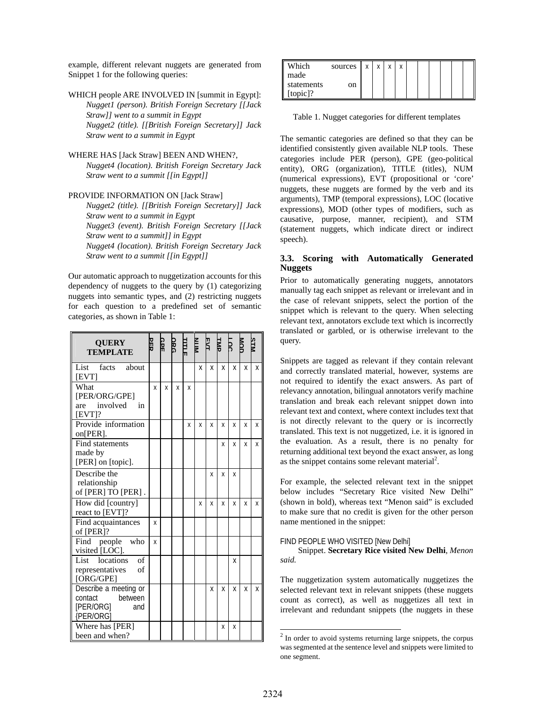example, different relevant nuggets are generated from Snippet 1 for the following queries:

WHICH people ARE INVOLVED IN [summit in Egypt]: *Nugget1 (person). British Foreign Secretary [[Jack Straw]] went to a summit in Egypt Nugget2 (title). [[British Foreign Secretary]] Jack Straw went to a summit in Egypt* 

WHERE HAS [Jack Straw] BEEN AND WHEN?, *Nugget4 (location). British Foreign Secretary Jack Straw went to a summit [[in Egypt]]* 

#### PROVIDE INFORMATION ON [Jack Straw]

*Nugget2 (title). [[British Foreign Secretary]] Jack Straw went to a summit in Egypt Nugget3 (event). British Foreign Secretary [[Jack Straw went to a summit]] in Egypt Nugget4 (location). British Foreign Secretary Jack Straw went to a summit [[in Egypt]]* 

Our automatic approach to nuggetization accounts for this dependency of nuggets to the query by (1) categorizing nuggets into semantic types, and (2) restricting nuggets for each question to a predefined set of semantic categories, as shown in Table 1:

| <b>OUERY</b><br><b>TEMPLATE</b>                                                   | 모 | લਸ | នី | ᄪ | MIN | EZ | EMP | ğ |   |   |
|-----------------------------------------------------------------------------------|---|----|----|---|-----|----|-----|---|---|---|
| List facts about<br>[EVT]                                                         |   |    |    |   | x   | x  | x   | x | x | X |
| What<br>[PER/ORG/GPE]<br>involved<br>in<br>are<br>$[EVT]$ ?                       | X | X  | X  | x |     |    |     |   |   |   |
| Provide information<br>on[PER].                                                   |   |    |    | Χ | Χ   | X  | X   | X | χ | Χ |
| Find statements<br>made by<br>[PER] on [topic].                                   |   |    |    |   |     |    | x   | x | x | x |
| Describe the<br>relationship<br>of [PER] TO [PER].                                |   |    |    |   |     | X  | x   | X |   |   |
| How did [country]<br>react to [EVT]?                                              |   |    |    |   | X   | X  | X   | X | X | X |
| Find acquaintances<br>of [PER]?                                                   | x |    |    |   |     |    |     |   |   |   |
| Find people<br>who<br>visited [LOC].                                              | X |    |    |   |     |    |     |   |   |   |
| locations<br>$\overline{\text{of}}$<br>List<br>representatives<br>οf<br>[ORG/GPE] |   |    |    |   |     |    |     | x |   |   |
| Describe a meeting or<br>between<br>contact<br>[PER/ORG]<br>and<br>{PER/ORG]      |   |    |    |   |     | X  | x   | X | x | X |
| Where has [PER]<br>been and when?                                                 |   |    |    |   |     |    | Χ   | x |   |   |

| Which      | sources | X | v | $\mathbf{v}$ | v |  |  |  |
|------------|---------|---|---|--------------|---|--|--|--|
| made       |         |   |   |              |   |  |  |  |
| statements | on      |   |   |              |   |  |  |  |
| [topic]?   |         |   |   |              |   |  |  |  |

Table 1. Nugget categories for different templates

The semantic categories are defined so that they can be identified consistently given available NLP tools. These categories include PER (person), GPE (geo-political entity), ORG (organization), TITLE (titles), NUM (numerical expressions), EVT (propositional or 'core' nuggets, these nuggets are formed by the verb and its arguments), TMP (temporal expressions), LOC (locative expressions), MOD (other types of modifiers, such as causative, purpose, manner, recipient), and STM (statement nuggets, which indicate direct or indirect speech).

#### **3.3. Scoring with Automatically Generated Nuggets**

Prior to automatically generating nuggets, annotators manually tag each snippet as relevant or irrelevant and in the case of relevant snippets, select the portion of the snippet which is relevant to the query. When selecting relevant text, annotators exclude text which is incorrectly translated or garbled, or is otherwise irrelevant to the query.

Snippets are tagged as relevant if they contain relevant and correctly translated material, however, systems are not required to identify the exact answers. As part of relevancy annotation, bilingual annotators verify machine translation and break each relevant snippet down into relevant text and context, where context includes text that is not directly relevant to the query or is incorrectly translated. This text is not nuggetized, i.e. it is ignored in the evaluation. As a result, there is no penalty for returning additional text beyond the exact answer, as long as the snippet contains some relevant material<sup>2</sup>.

For example, the selected relevant text in the snippet below includes "Secretary Rice visited New Delhi" (shown in bold), whereas text "Menon said" is excluded to make sure that no credit is given for the other person name mentioned in the snippet:

#### FIND PEOPLE WHO VISITED [New Delhi]

Snippet. **Secretary Rice visited New Delhi***, Menon said.*

The nuggetization system automatically nuggetizes the selected relevant text in relevant snippets (these nuggets count as correct), as well as nuggetizes all text in irrelevant and redundant snippets (the nuggets in these

 $\overline{a}$ 

 $2$  In order to avoid systems returning large snippets, the corpus was segmented at the sentence level and snippets were limited to one segment.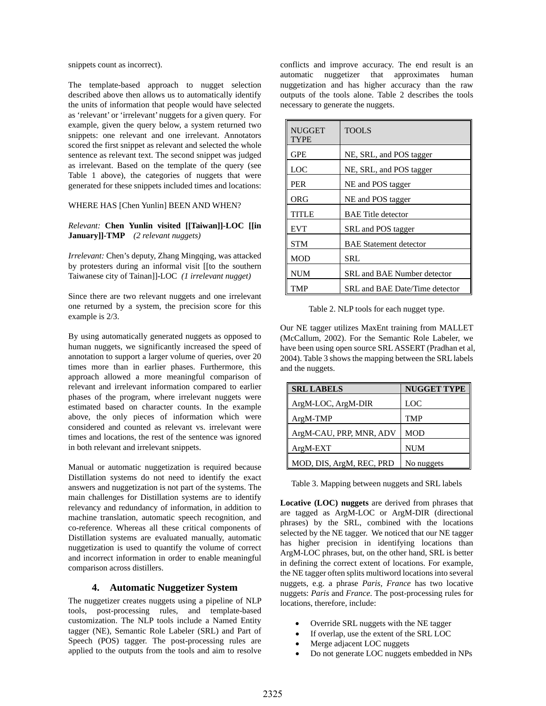snippets count as incorrect).

The template-based approach to nugget selection described above then allows us to automatically identify the units of information that people would have selected as 'relevant' or 'irrelevant' nuggets for a given query. For example, given the query below, a system returned two snippets: one relevant and one irrelevant. Annotators scored the first snippet as relevant and selected the whole sentence as relevant text. The second snippet was judged as irrelevant. Based on the template of the query (see Table 1 above), the categories of nuggets that were generated for these snippets included times and locations:

#### WHERE HAS [Chen Yunlin] BEEN AND WHEN?

*Relevant:* **Chen Yunlin visited [[Taiwan]]-LOC [[in January]]-TMP** *(2 relevant nuggets)* 

*Irrelevant:* Chen's deputy, Zhang Mingqing, was attacked by protesters during an informal visit [[to the southern Taiwanese city of Tainan]]-LOC *(1 irrelevant nugget)* 

Since there are two relevant nuggets and one irrelevant one returned by a system, the precision score for this example is 2/3.

By using automatically generated nuggets as opposed to human nuggets, we significantly increased the speed of annotation to support a larger volume of queries, over 20 times more than in earlier phases. Furthermore, this approach allowed a more meaningful comparison of relevant and irrelevant information compared to earlier phases of the program, where irrelevant nuggets were estimated based on character counts. In the example above, the only pieces of information which were considered and counted as relevant vs. irrelevant were times and locations, the rest of the sentence was ignored in both relevant and irrelevant snippets.

Manual or automatic nuggetization is required because Distillation systems do not need to identify the exact answers and nuggetization is not part of the systems. The main challenges for Distillation systems are to identify relevancy and redundancy of information, in addition to machine translation, automatic speech recognition, and co-reference. Whereas all these critical components of Distillation systems are evaluated manually, automatic nuggetization is used to quantify the volume of correct and incorrect information in order to enable meaningful comparison across distillers.

### **4. Automatic Nuggetizer System**

The nuggetizer creates nuggets using a pipeline of NLP tools, post-processing rules, and template-based customization. The NLP tools include a Named Entity tagger (NE), Semantic Role Labeler (SRL) and Part of Speech (POS) tagger. The post-processing rules are applied to the outputs from the tools and aim to resolve conflicts and improve accuracy. The end result is an automatic nuggetizer that approximates human nuggetization and has higher accuracy than the raw outputs of the tools alone. Table 2 describes the tools necessary to generate the nuggets.

| <b>NUGGET</b><br>TYPE | <b>TOOLS</b>                   |
|-----------------------|--------------------------------|
| <b>GPE</b>            | NE, SRL, and POS tagger        |
| LOC                   | NE, SRL, and POS tagger        |
| <b>PER</b>            | NE and POS tagger              |
| ORG                   | NE and POS tagger              |
| TITLE                 | <b>BAE</b> Title detector      |
| <b>EVT</b>            | SRL and POS tagger             |
| <b>STM</b>            | <b>BAE</b> Statement detector  |
| <b>MOD</b>            | SRL                            |
| <b>NUM</b>            | SRL and BAE Number detector    |
| TMP                   | SRL and BAE Date/Time detector |

Table 2. NLP tools for each nugget type.

Our NE tagger utilizes MaxEnt training from MALLET (McCallum, 2002). For the Semantic Role Labeler, we have been using open source SRL ASSERT (Pradhan et al, 2004). Table 3 shows the mapping between the SRL labels and the nuggets.

| <b>SRL LABELS</b>        | <b>NUGGET TYPE</b> |
|--------------------------|--------------------|
| ArgM-LOC, ArgM-DIR       | <b>LOC</b>         |
| $ArgM-TMP$               | <b>TMP</b>         |
| ArgM-CAU, PRP, MNR, ADV  | <b>MOD</b>         |
| ArgM-EXT                 | <b>NUM</b>         |
| MOD, DIS, ArgM, REC, PRD | No nuggets         |

Table 3. Mapping between nuggets and SRL labels

**Locative (LOC) nuggets** are derived from phrases that are tagged as ArgM-LOC or ArgM-DIR (directional phrases) by the SRL, combined with the locations selected by the NE tagger. We noticed that our NE tagger has higher precision in identifying locations than ArgM-LOC phrases, but, on the other hand, SRL is better in defining the correct extent of locations. For example, the NE tagger often splits multiword locations into several nuggets, e.g. a phrase *Paris, France* has two locative nuggets: *Paris* and *France*. The post-processing rules for locations, therefore, include:

- Override SRL nuggets with the NE tagger
- If overlap, use the extent of the SRL LOC
- Merge adjacent LOC nuggets
- Do not generate LOC nuggets embedded in NPs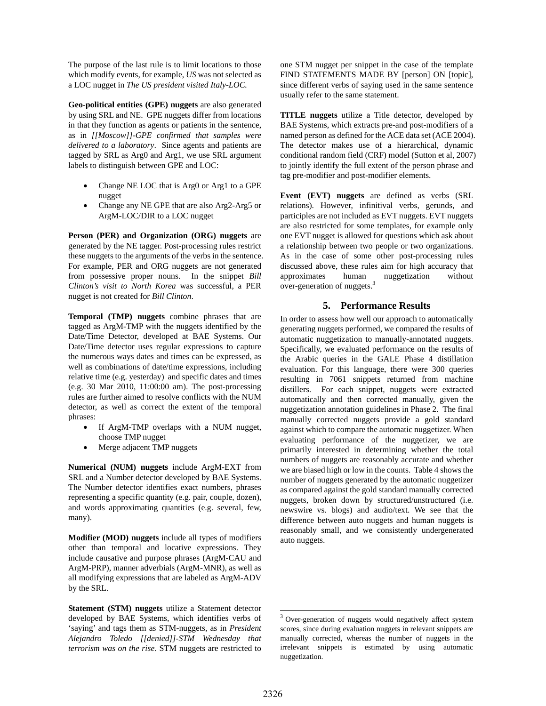The purpose of the last rule is to limit locations to those which modify events, for example, *US* was not selected as a LOC nugget in *The US president visited Italy-LOC.* 

**Geo-political entities (GPE) nuggets** are also generated by using SRL and NE. GPE nuggets differ from locations in that they function as agents or patients in the sentence, as in *[[Moscow]]-GPE confirmed that samples were delivered to a laboratory*. Since agents and patients are tagged by SRL as Arg0 and Arg1, we use SRL argument labels to distinguish between GPE and LOC:

- Change NE LOC that is Arg0 or Arg1 to a GPE nugget
- Change any NE GPE that are also Arg2-Arg5 or ArgM-LOC/DIR to a LOC nugget

**Person (PER) and Organization (ORG) nuggets** are generated by the NE tagger. Post-processing rules restrict these nuggets to the arguments of the verbs in the sentence. For example, PER and ORG nuggets are not generated from possessive proper nouns. In the snippet *Bill Clinton's visit to North Korea* was successful, a PER nugget is not created for *Bill Clinton*.

**Temporal (TMP) nuggets** combine phrases that are tagged as ArgM-TMP with the nuggets identified by the Date/Time Detector, developed at BAE Systems. Our Date/Time detector uses regular expressions to capture the numerous ways dates and times can be expressed, as well as combinations of date/time expressions, including relative time (e.g. yesterday) and specific dates and times (e.g. 30 Mar 2010, 11:00:00 am). The post-processing rules are further aimed to resolve conflicts with the NUM detector, as well as correct the extent of the temporal phrases:

- If ArgM-TMP overlaps with a NUM nugget, choose TMP nugget
- Merge adjacent TMP nuggets

**Numerical (NUM) nuggets** include ArgM-EXT from SRL and a Number detector developed by BAE Systems. The Number detector identifies exact numbers, phrases representing a specific quantity (e.g. pair, couple, dozen), and words approximating quantities (e.g. several, few, many).

**Modifier (MOD) nuggets** include all types of modifiers other than temporal and locative expressions. They include causative and purpose phrases (ArgM-CAU and ArgM-PRP), manner adverbials (ArgM-MNR), as well as all modifying expressions that are labeled as ArgM-ADV by the SRL.

**Statement (STM) nuggets** utilize a Statement detector developed by BAE Systems, which identifies verbs of 'saying' and tags them as STM-nuggets, as in *President Alejandro Toledo [[denied]]-STM Wednesday that terrorism was on the rise*. STM nuggets are restricted to one STM nugget per snippet in the case of the template FIND STATEMENTS MADE BY [person] ON [topic], since different verbs of saying used in the same sentence usually refer to the same statement.

**TITLE nuggets** utilize a Title detector, developed by BAE Systems, which extracts pre-and post-modifiers of a named person as defined for the ACE data set (ACE 2004). The detector makes use of a hierarchical, dynamic conditional random field (CRF) model (Sutton et al, 2007) to jointly identify the full extent of the person phrase and tag pre-modifier and post-modifier elements.

**Event (EVT) nuggets** are defined as verbs (SRL relations). However, infinitival verbs, gerunds, and participles are not included as EVT nuggets. EVT nuggets are also restricted for some templates, for example only one EVT nugget is allowed for questions which ask about a relationship between two people or two organizations. As in the case of some other post-processing rules discussed above, these rules aim for high accuracy that approximates human nuggetization without over-generation of nuggets.<sup>3</sup>

### **5. Performance Results**

In order to assess how well our approach to automatically generating nuggets performed, we compared the results of automatic nuggetization to manually-annotated nuggets. Specifically, we evaluated performance on the results of the Arabic queries in the GALE Phase 4 distillation evaluation. For this language, there were 300 queries resulting in 7061 snippets returned from machine distillers. For each snippet, nuggets were extracted automatically and then corrected manually, given the nuggetization annotation guidelines in Phase 2. The final manually corrected nuggets provide a gold standard against which to compare the automatic nuggetizer. When evaluating performance of the nuggetizer, we are primarily interested in determining whether the total numbers of nuggets are reasonably accurate and whether we are biased high or low in the counts. Table 4 shows the number of nuggets generated by the automatic nuggetizer as compared against the gold standard manually corrected nuggets, broken down by structured/unstructured (i.e. newswire vs. blogs) and audio/text. We see that the difference between auto nuggets and human nuggets is reasonably small, and we consistently undergenerated auto nuggets.

 $\overline{a}$ 

<sup>&</sup>lt;sup>3</sup> Over-generation of nuggets would negatively affect system scores, since during evaluation nuggets in relevant snippets are manually corrected, whereas the number of nuggets in the irrelevant snippets is estimated by using automatic nuggetization.